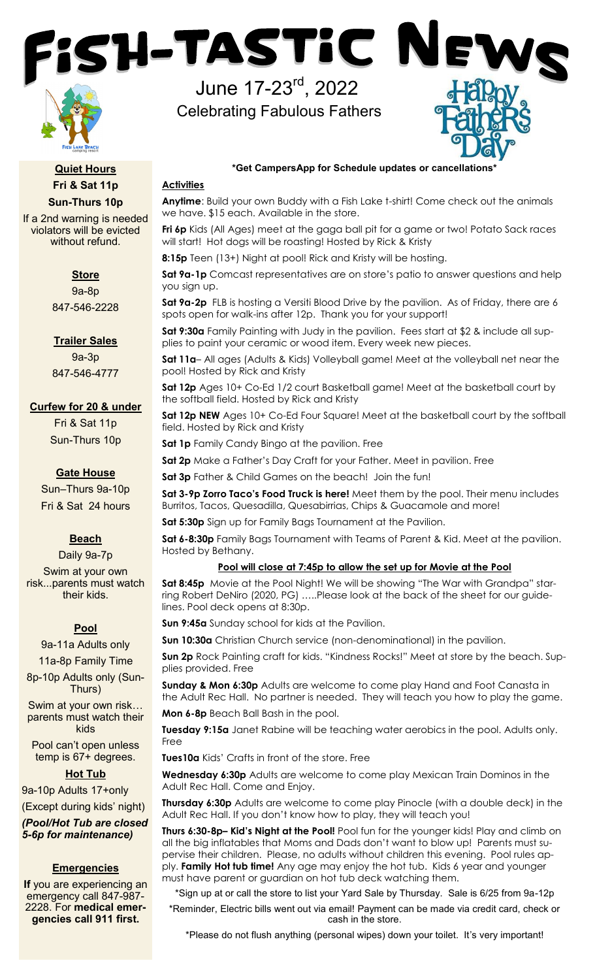

**Quiet Hours Fri & Sat 11p Sun-Thurs 10p**

If a 2nd warning is needed violators will be evicted without refund.

## **Store**

9a-8p 847-546-2228

**Trailer Sales** 

9a-3p 847-546-4777

# **Curfew for 20 & under**

Fri & Sat 11p Sun-Thurs 10p

# **Gate House**

Sun–Thurs 9a-10p Fri & Sat 24 hours

# **Beach**

Daily 9a-7p Swim at your own risk...parents must watch their kids.

# **Pool**

9a-11a Adults only 11a-8p Family Time

8p-10p Adults only (Sun-Thurs)

Swim at your own risk… parents must watch their kids

Pool can't open unless temp is 67+ degrees.

# **Hot Tub**

9a-10p Adults 17+only (Except during kids' night)

*(Pool/Hot Tub are closed 5-6p for maintenance)*

# **Emergencies**

**If** you are experiencing an emergency call 847-987- 2228. For **medical emergencies call 911 first.**

## **\*Get CampersApp for Schedule updates or cancellations\***

## **Activities**

**Anytime**: Build your own Buddy with a Fish Lake t-shirt! Come check out the animals we have. \$15 each. Available in the store.

**Fri 6p** Kids (All Ages) meet at the gaga ball pit for a game or two! Potato Sack races will start! Hot dogs will be roasting! Hosted by Rick & Kristy

**8:15p** Teen (13+) Night at pool! Rick and Kristy will be hosting.

June 17-23rd, 2022

SH-TASTIC N

Celebrating Fabulous Fathers

**Sat 9a-1p** Comcast representatives are on store's patio to answer questions and help you sign up.

**Sat 9a-2p** FLB is hosting a Versiti Blood Drive by the pavilion. As of Friday, there are 6 spots open for walk-ins after 12p. Thank you for your support!

**Sat 9:30a** Family Painting with Judy in the pavilion. Fees start at \$2 & include all supplies to paint your ceramic or wood item. Every week new pieces.

**Sat 11a**– All ages (Adults & Kids) Volleyball game! Meet at the volleyball net near the pool! Hosted by Rick and Kristy

**Sat 12p** Ages 10+ Co-Ed 1/2 court Basketball game! Meet at the basketball court by the softball field. Hosted by Rick and Kristy

**Sat 12p NEW** Ages 10+ Co-Ed Four Square! Meet at the basketball court by the softball field. Hosted by Rick and Kristy

**Sat 1p** Family Candy Bingo at the pavilion. Free

**Sat 2p** Make a Father's Day Craft for your Father. Meet in pavilion. Free

**Sat 3p** Father & Child Games on the beach! Join the fun!

**Sat 3-9p Zorro Taco's Food Truck is here!** Meet them by the pool. Their menu includes Burritos, Tacos, Quesadilla, Quesabirrias, Chips & Guacamole and more!

**Sat 5:30p** Sign up for Family Bags Tournament at the Pavilion.

**Sat 6-8:30p** Family Bags Tournament with Teams of Parent & Kid. Meet at the pavilion. Hosted by Bethany.

## **Pool will close at 7:45p to allow the set up for Movie at the Pool**

**Sat 8:45p** Movie at the Pool Night! We will be showing "The War with Grandpa" starring Robert DeNiro (2020, PG) …..Please look at the back of the sheet for our guidelines. Pool deck opens at 8:30p.

**Sun 9:45a** Sunday school for kids at the Pavilion.

**Sun 10:30a** Christian Church service (non-denominational) in the pavilion.

**Sun 2p** Rock Painting craft for kids. "Kindness Rocks!" Meet at store by the beach. Supplies provided. Free

**Sunday & Mon 6:30p** Adults are welcome to come play Hand and Foot Canasta in the Adult Rec Hall. No partner is needed. They will teach you how to play the game.

**Mon 6-8p** Beach Ball Bash in the pool.

**Tuesday 9:15a** Janet Rabine will be teaching water aerobics in the pool. Adults only. Free

**Tues10a** Kids' Crafts in front of the store. Free

**Wednesday 6:30p** Adults are welcome to come play Mexican Train Dominos in the Adult Rec Hall. Come and Enjoy.

**Thursday 6:30p** Adults are welcome to come play Pinocle (with a double deck) in the Adult Rec Hall. If you don't know how to play, they will teach you!

**Thurs 6:30-8p– Kid's Night at the Pool!** Pool fun for the younger kids! Play and climb on all the big inflatables that Moms and Dads don't want to blow up! Parents must supervise their children. Please, no adults without children this evening. Pool rules apply. **Family Hot tub time!** Any age may enjoy the hot tub. Kids 6 year and younger must have parent or guardian on hot tub deck watching them.

\*Sign up at or call the store to list your Yard Sale by Thursday. Sale is 6/25 from 9a-12p \*Reminder, Electric bills went out via email! Payment can be made via credit card, check or cash in the store.

\*Please do not flush anything (personal wipes) down your toilet. It's very important!